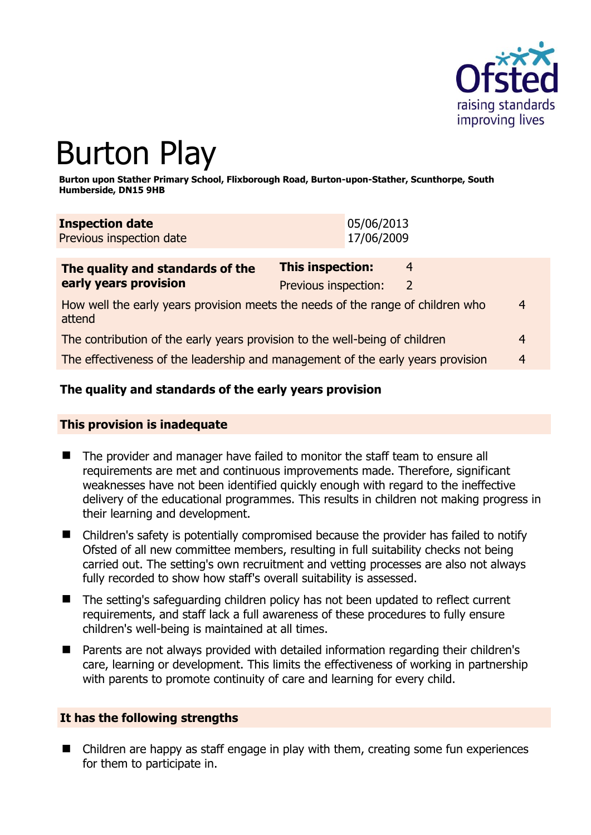

# Burton Play

**Burton upon Stather Primary School, Flixborough Road, Burton-upon-Stather, Scunthorpe, South Humberside, DN15 9HB** 

| <b>Inspection date</b>   | 05/06/2013 |
|--------------------------|------------|
| Previous inspection date | 17/06/2009 |

| The quality and standards of the                                                          | <b>This inspection:</b><br>4 |  |   |
|-------------------------------------------------------------------------------------------|------------------------------|--|---|
| early years provision                                                                     | Previous inspection:         |  |   |
| How well the early years provision meets the needs of the range of children who<br>attend |                              |  | 4 |
| The contribution of the early years provision to the well-being of children               |                              |  | 4 |
| The effectiveness of the leadership and management of the early years provision           |                              |  | 4 |

# **The quality and standards of the early years provision**

#### **This provision is inadequate**

- The provider and manager have failed to monitor the staff team to ensure all requirements are met and continuous improvements made. Therefore, significant weaknesses have not been identified quickly enough with regard to the ineffective delivery of the educational programmes. This results in children not making progress in their learning and development.
- Children's safety is potentially compromised because the provider has failed to notify Ofsted of all new committee members, resulting in full suitability checks not being carried out. The setting's own recruitment and vetting processes are also not always fully recorded to show how staff's overall suitability is assessed.
- The setting's safeguarding children policy has not been updated to reflect current requirements, and staff lack a full awareness of these procedures to fully ensure children's well-being is maintained at all times.
- Parents are not always provided with detailed information regarding their children's care, learning or development. This limits the effectiveness of working in partnership with parents to promote continuity of care and learning for every child.

# **It has the following strengths**

■ Children are happy as staff engage in play with them, creating some fun experiences for them to participate in.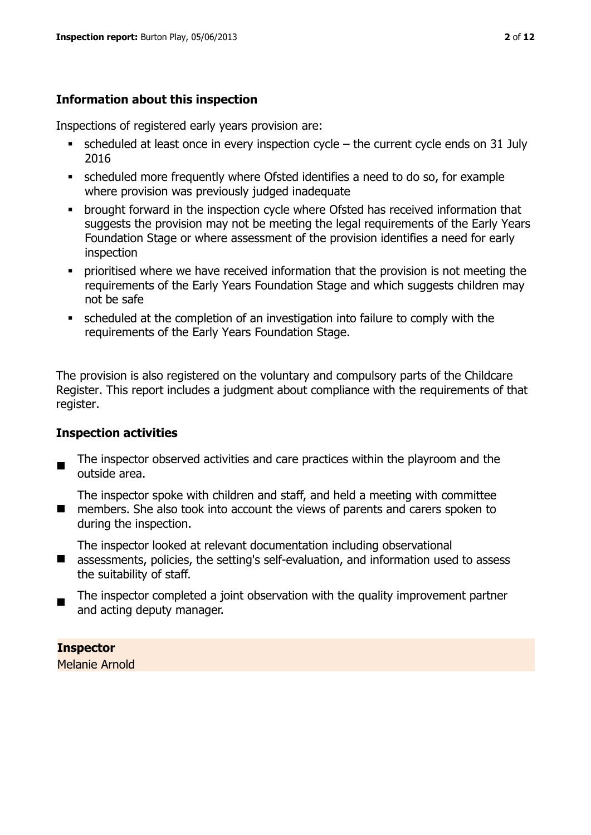# **Information about this inspection**

Inspections of registered early years provision are:

- $\bullet$  scheduled at least once in every inspection cycle the current cycle ends on 31 July 2016
- scheduled more frequently where Ofsted identifies a need to do so, for example where provision was previously judged inadequate
- **•** brought forward in the inspection cycle where Ofsted has received information that suggests the provision may not be meeting the legal requirements of the Early Years Foundation Stage or where assessment of the provision identifies a need for early inspection
- **•** prioritised where we have received information that the provision is not meeting the requirements of the Early Years Foundation Stage and which suggests children may not be safe
- scheduled at the completion of an investigation into failure to comply with the requirements of the Early Years Foundation Stage.

The provision is also registered on the voluntary and compulsory parts of the Childcare Register. This report includes a judgment about compliance with the requirements of that register.

# **Inspection activities**

- $\blacksquare$ The inspector observed activities and care practices within the playroom and the outside area.
- $\blacksquare$ The inspector spoke with children and staff, and held a meeting with committee members. She also took into account the views of parents and carers spoken to during the inspection.

The inspector looked at relevant documentation including observational

- assessments, policies, the setting's self-evaluation, and information used to assess the suitability of staff.
- $\blacksquare$ The inspector completed a joint observation with the quality improvement partner and acting deputy manager.

**Inspector**  Melanie Arnold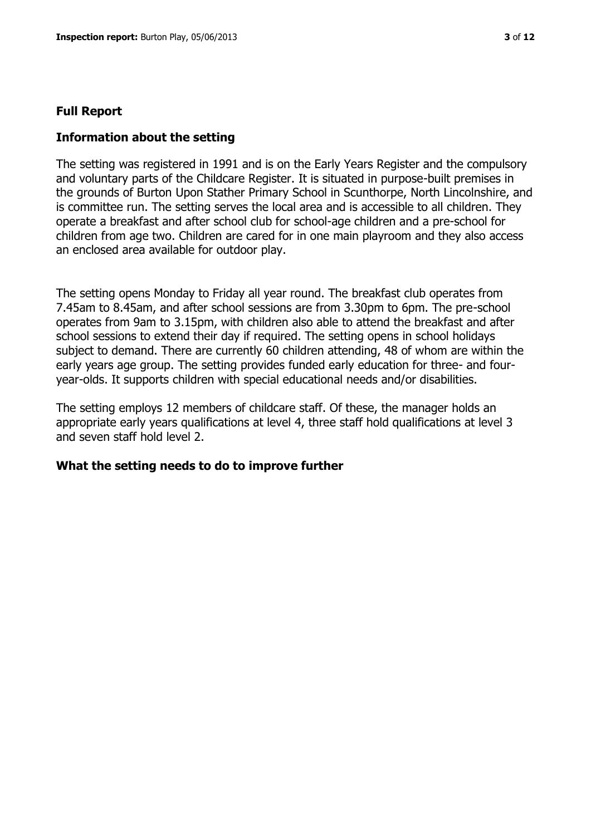#### **Full Report**

#### **Information about the setting**

The setting was registered in 1991 and is on the Early Years Register and the compulsory and voluntary parts of the Childcare Register. It is situated in purpose-built premises in the grounds of Burton Upon Stather Primary School in Scunthorpe, North Lincolnshire, and is committee run. The setting serves the local area and is accessible to all children. They operate a breakfast and after school club for school-age children and a pre-school for children from age two. Children are cared for in one main playroom and they also access an enclosed area available for outdoor play.

The setting opens Monday to Friday all year round. The breakfast club operates from 7.45am to 8.45am, and after school sessions are from 3.30pm to 6pm. The pre-school operates from 9am to 3.15pm, with children also able to attend the breakfast and after school sessions to extend their day if required. The setting opens in school holidays subject to demand. There are currently 60 children attending, 48 of whom are within the early years age group. The setting provides funded early education for three- and fouryear-olds. It supports children with special educational needs and/or disabilities.

The setting employs 12 members of childcare staff. Of these, the manager holds an appropriate early years qualifications at level 4, three staff hold qualifications at level 3 and seven staff hold level 2.

#### **What the setting needs to do to improve further**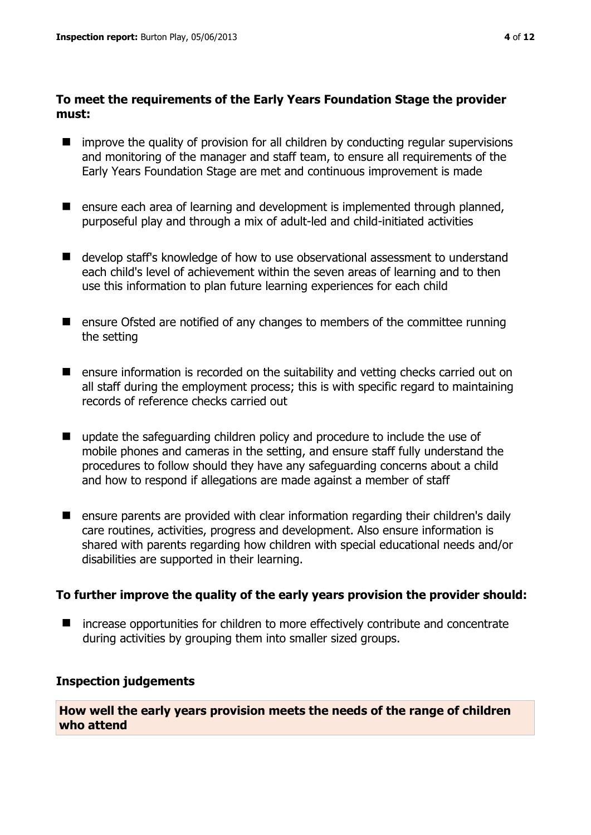#### **To meet the requirements of the Early Years Foundation Stage the provider must:**

- improve the quality of provision for all children by conducting regular supervisions and monitoring of the manager and staff team, to ensure all requirements of the Early Years Foundation Stage are met and continuous improvement is made
- **E** ensure each area of learning and development is implemented through planned, purposeful play and through a mix of adult-led and child-initiated activities
- develop staff's knowledge of how to use observational assessment to understand each child's level of achievement within the seven areas of learning and to then use this information to plan future learning experiences for each child
- ensure Ofsted are notified of any changes to members of the committee running the setting
- **E** ensure information is recorded on the suitability and vetting checks carried out on all staff during the employment process; this is with specific regard to maintaining records of reference checks carried out
- $\blacksquare$  update the safeguarding children policy and procedure to include the use of mobile phones and cameras in the setting, and ensure staff fully understand the procedures to follow should they have any safeguarding concerns about a child and how to respond if allegations are made against a member of staff
- ensure parents are provided with clear information regarding their children's daily care routines, activities, progress and development. Also ensure information is shared with parents regarding how children with special educational needs and/or disabilities are supported in their learning.

# **To further improve the quality of the early years provision the provider should:**

■ increase opportunities for children to more effectively contribute and concentrate during activities by grouping them into smaller sized groups.

# **Inspection judgements**

**How well the early years provision meets the needs of the range of children who attend**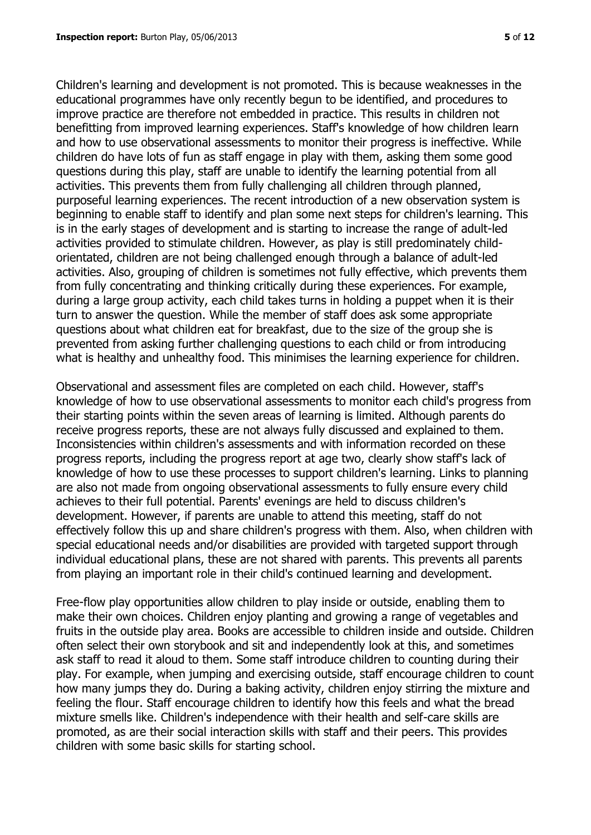Children's learning and development is not promoted. This is because weaknesses in the educational programmes have only recently begun to be identified, and procedures to improve practice are therefore not embedded in practice. This results in children not benefitting from improved learning experiences. Staff's knowledge of how children learn and how to use observational assessments to monitor their progress is ineffective. While children do have lots of fun as staff engage in play with them, asking them some good questions during this play, staff are unable to identify the learning potential from all activities. This prevents them from fully challenging all children through planned, purposeful learning experiences. The recent introduction of a new observation system is beginning to enable staff to identify and plan some next steps for children's learning. This is in the early stages of development and is starting to increase the range of adult-led activities provided to stimulate children. However, as play is still predominately childorientated, children are not being challenged enough through a balance of adult-led activities. Also, grouping of children is sometimes not fully effective, which prevents them from fully concentrating and thinking critically during these experiences. For example, during a large group activity, each child takes turns in holding a puppet when it is their turn to answer the question. While the member of staff does ask some appropriate questions about what children eat for breakfast, due to the size of the group she is prevented from asking further challenging questions to each child or from introducing what is healthy and unhealthy food. This minimises the learning experience for children.

Observational and assessment files are completed on each child. However, staff's knowledge of how to use observational assessments to monitor each child's progress from their starting points within the seven areas of learning is limited. Although parents do receive progress reports, these are not always fully discussed and explained to them. Inconsistencies within children's assessments and with information recorded on these progress reports, including the progress report at age two, clearly show staff's lack of knowledge of how to use these processes to support children's learning. Links to planning are also not made from ongoing observational assessments to fully ensure every child achieves to their full potential. Parents' evenings are held to discuss children's development. However, if parents are unable to attend this meeting, staff do not effectively follow this up and share children's progress with them. Also, when children with special educational needs and/or disabilities are provided with targeted support through individual educational plans, these are not shared with parents. This prevents all parents from playing an important role in their child's continued learning and development.

Free-flow play opportunities allow children to play inside or outside, enabling them to make their own choices. Children enjoy planting and growing a range of vegetables and fruits in the outside play area. Books are accessible to children inside and outside. Children often select their own storybook and sit and independently look at this, and sometimes ask staff to read it aloud to them. Some staff introduce children to counting during their play. For example, when jumping and exercising outside, staff encourage children to count how many jumps they do. During a baking activity, children enjoy stirring the mixture and feeling the flour. Staff encourage children to identify how this feels and what the bread mixture smells like. Children's independence with their health and self-care skills are promoted, as are their social interaction skills with staff and their peers. This provides children with some basic skills for starting school.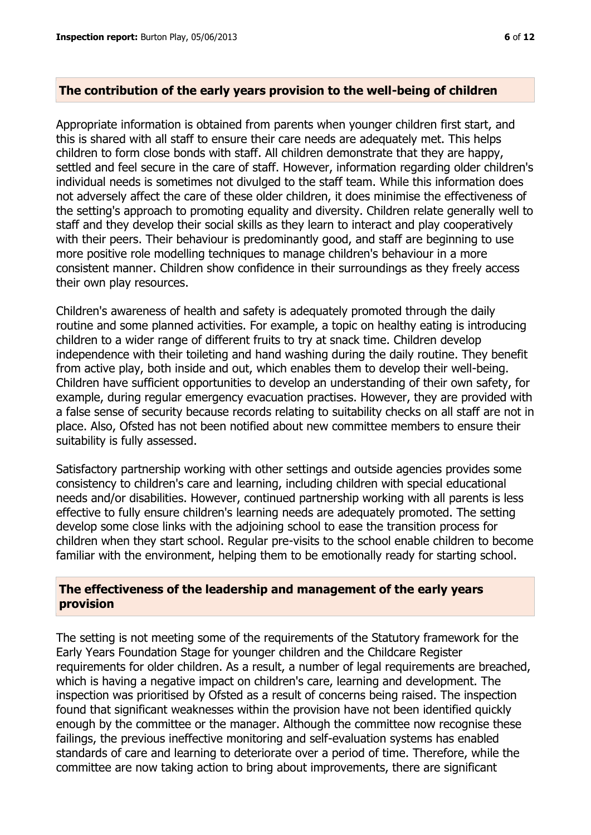#### **The contribution of the early years provision to the well-being of children**

Appropriate information is obtained from parents when younger children first start, and this is shared with all staff to ensure their care needs are adequately met. This helps children to form close bonds with staff. All children demonstrate that they are happy, settled and feel secure in the care of staff. However, information regarding older children's individual needs is sometimes not divulged to the staff team. While this information does not adversely affect the care of these older children, it does minimise the effectiveness of the setting's approach to promoting equality and diversity. Children relate generally well to staff and they develop their social skills as they learn to interact and play cooperatively with their peers. Their behaviour is predominantly good, and staff are beginning to use more positive role modelling techniques to manage children's behaviour in a more consistent manner. Children show confidence in their surroundings as they freely access their own play resources.

Children's awareness of health and safety is adequately promoted through the daily routine and some planned activities. For example, a topic on healthy eating is introducing children to a wider range of different fruits to try at snack time. Children develop independence with their toileting and hand washing during the daily routine. They benefit from active play, both inside and out, which enables them to develop their well-being. Children have sufficient opportunities to develop an understanding of their own safety, for example, during regular emergency evacuation practises. However, they are provided with a false sense of security because records relating to suitability checks on all staff are not in place. Also, Ofsted has not been notified about new committee members to ensure their suitability is fully assessed.

Satisfactory partnership working with other settings and outside agencies provides some consistency to children's care and learning, including children with special educational needs and/or disabilities. However, continued partnership working with all parents is less effective to fully ensure children's learning needs are adequately promoted. The setting develop some close links with the adjoining school to ease the transition process for children when they start school. Regular pre-visits to the school enable children to become familiar with the environment, helping them to be emotionally ready for starting school.

#### **The effectiveness of the leadership and management of the early years provision**

The setting is not meeting some of the requirements of the Statutory framework for the Early Years Foundation Stage for younger children and the Childcare Register requirements for older children. As a result, a number of legal requirements are breached, which is having a negative impact on children's care, learning and development. The inspection was prioritised by Ofsted as a result of concerns being raised. The inspection found that significant weaknesses within the provision have not been identified quickly enough by the committee or the manager. Although the committee now recognise these failings, the previous ineffective monitoring and self-evaluation systems has enabled standards of care and learning to deteriorate over a period of time. Therefore, while the committee are now taking action to bring about improvements, there are significant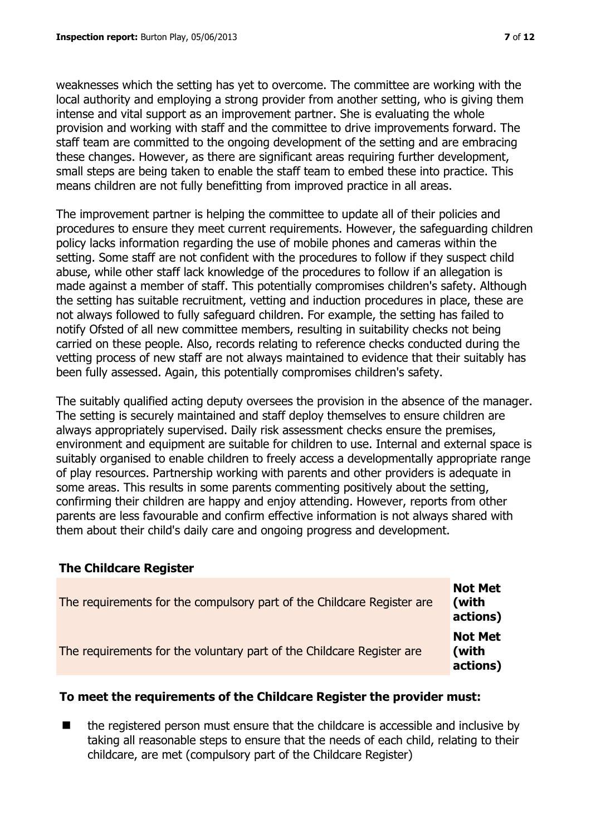weaknesses which the setting has yet to overcome. The committee are working with the local authority and employing a strong provider from another setting, who is giving them intense and vital support as an improvement partner. She is evaluating the whole provision and working with staff and the committee to drive improvements forward. The staff team are committed to the ongoing development of the setting and are embracing these changes. However, as there are significant areas requiring further development, small steps are being taken to enable the staff team to embed these into practice. This means children are not fully benefitting from improved practice in all areas.

The improvement partner is helping the committee to update all of their policies and procedures to ensure they meet current requirements. However, the safeguarding children policy lacks information regarding the use of mobile phones and cameras within the setting. Some staff are not confident with the procedures to follow if they suspect child abuse, while other staff lack knowledge of the procedures to follow if an allegation is made against a member of staff. This potentially compromises children's safety. Although the setting has suitable recruitment, vetting and induction procedures in place, these are not always followed to fully safeguard children. For example, the setting has failed to notify Ofsted of all new committee members, resulting in suitability checks not being carried on these people. Also, records relating to reference checks conducted during the vetting process of new staff are not always maintained to evidence that their suitably has been fully assessed. Again, this potentially compromises children's safety.

The suitably qualified acting deputy oversees the provision in the absence of the manager. The setting is securely maintained and staff deploy themselves to ensure children are always appropriately supervised. Daily risk assessment checks ensure the premises, environment and equipment are suitable for children to use. Internal and external space is suitably organised to enable children to freely access a developmentally appropriate range of play resources. Partnership working with parents and other providers is adequate in some areas. This results in some parents commenting positively about the setting, confirming their children are happy and enjoy attending. However, reports from other parents are less favourable and confirm effective information is not always shared with them about their child's daily care and ongoing progress and development.

# **The Childcare Register**

| The requirements for the compulsory part of the Childcare Register are | <b>Not Met</b><br>(with<br>actions) |
|------------------------------------------------------------------------|-------------------------------------|
| The requirements for the voluntary part of the Childcare Register are  | <b>Not Met</b><br>(with<br>actions) |

# **To meet the requirements of the Childcare Register the provider must:**

 $\blacksquare$  the registered person must ensure that the childcare is accessible and inclusive by taking all reasonable steps to ensure that the needs of each child, relating to their childcare, are met (compulsory part of the Childcare Register)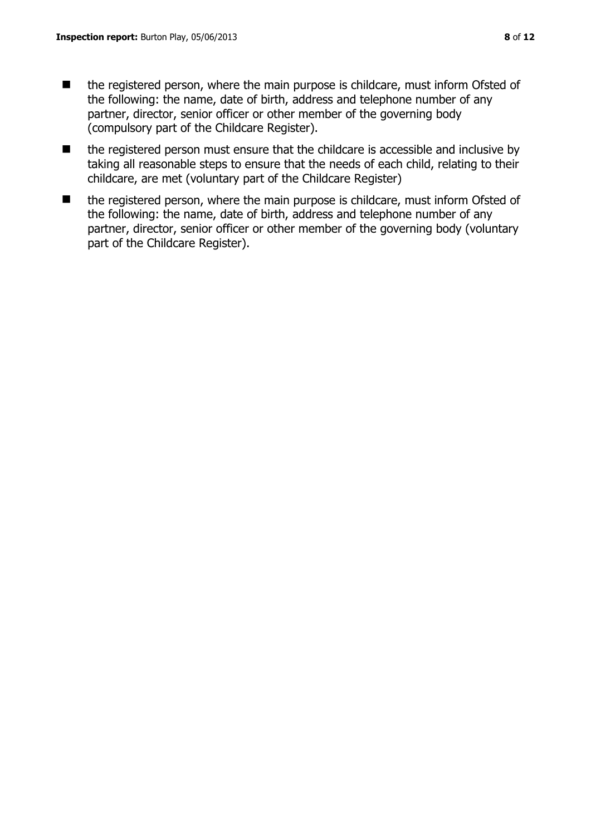- the registered person must ensure that the childcare is accessible and inclusive by taking all reasonable steps to ensure that the needs of each child, relating to their childcare, are met (voluntary part of the Childcare Register)
- the registered person, where the main purpose is childcare, must inform Ofsted of the following: the name, date of birth, address and telephone number of any partner, director, senior officer or other member of the governing body (voluntary part of the Childcare Register).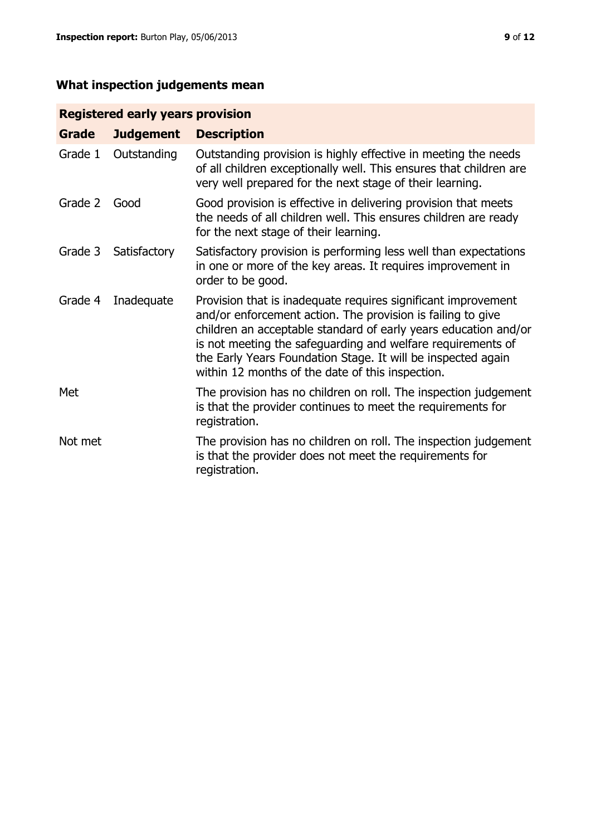# **What inspection judgements mean**

# **Registered early years provision**

| <b>Grade</b> | <b>Judgement</b> | <b>Description</b>                                                                                                                                                                                                                                                                                                                                                                 |
|--------------|------------------|------------------------------------------------------------------------------------------------------------------------------------------------------------------------------------------------------------------------------------------------------------------------------------------------------------------------------------------------------------------------------------|
| Grade 1      | Outstanding      | Outstanding provision is highly effective in meeting the needs<br>of all children exceptionally well. This ensures that children are<br>very well prepared for the next stage of their learning.                                                                                                                                                                                   |
| Grade 2      | Good             | Good provision is effective in delivering provision that meets<br>the needs of all children well. This ensures children are ready<br>for the next stage of their learning.                                                                                                                                                                                                         |
| Grade 3      | Satisfactory     | Satisfactory provision is performing less well than expectations<br>in one or more of the key areas. It requires improvement in<br>order to be good.                                                                                                                                                                                                                               |
| Grade 4      | Inadequate       | Provision that is inadequate requires significant improvement<br>and/or enforcement action. The provision is failing to give<br>children an acceptable standard of early years education and/or<br>is not meeting the safeguarding and welfare requirements of<br>the Early Years Foundation Stage. It will be inspected again<br>within 12 months of the date of this inspection. |
| Met          |                  | The provision has no children on roll. The inspection judgement<br>is that the provider continues to meet the requirements for<br>registration.                                                                                                                                                                                                                                    |
| Not met      |                  | The provision has no children on roll. The inspection judgement<br>is that the provider does not meet the requirements for<br>registration.                                                                                                                                                                                                                                        |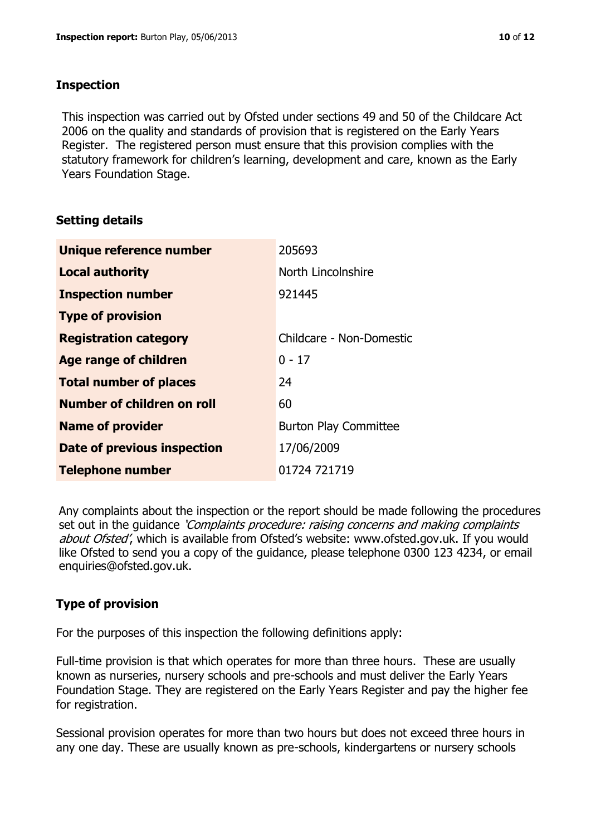#### **Inspection**

This inspection was carried out by Ofsted under sections 49 and 50 of the Childcare Act 2006 on the quality and standards of provision that is registered on the Early Years Register. The registered person must ensure that this provision complies with the statutory framework for children's learning, development and care, known as the Early Years Foundation Stage.

# **Setting details**

| Unique reference number            | 205693                       |
|------------------------------------|------------------------------|
| <b>Local authority</b>             | North Lincolnshire           |
| <b>Inspection number</b>           | 921445                       |
| <b>Type of provision</b>           |                              |
| <b>Registration category</b>       | Childcare - Non-Domestic     |
| Age range of children              | $0 - 17$                     |
| <b>Total number of places</b>      | 24                           |
| Number of children on roll         | 60                           |
| <b>Name of provider</b>            | <b>Burton Play Committee</b> |
| <b>Date of previous inspection</b> | 17/06/2009                   |
| <b>Telephone number</b>            | 01724 721719                 |

Any complaints about the inspection or the report should be made following the procedures set out in the guidance *'Complaints procedure: raising concerns and making complaints* about Ofsted', which is available from Ofsted's website: www.ofsted.gov.uk. If you would like Ofsted to send you a copy of the guidance, please telephone 0300 123 4234, or email enquiries@ofsted.gov.uk.

# **Type of provision**

For the purposes of this inspection the following definitions apply:

Full-time provision is that which operates for more than three hours. These are usually known as nurseries, nursery schools and pre-schools and must deliver the Early Years Foundation Stage. They are registered on the Early Years Register and pay the higher fee for registration.

Sessional provision operates for more than two hours but does not exceed three hours in any one day. These are usually known as pre-schools, kindergartens or nursery schools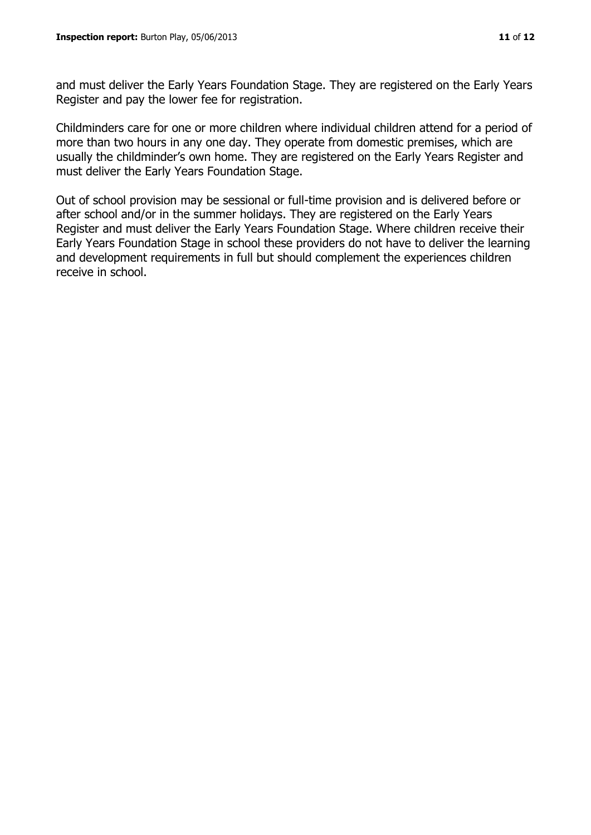and must deliver the Early Years Foundation Stage. They are registered on the Early Years Register and pay the lower fee for registration.

Childminders care for one or more children where individual children attend for a period of more than two hours in any one day. They operate from domestic premises, which are usually the childminder's own home. They are registered on the Early Years Register and must deliver the Early Years Foundation Stage.

Out of school provision may be sessional or full-time provision and is delivered before or after school and/or in the summer holidays. They are registered on the Early Years Register and must deliver the Early Years Foundation Stage. Where children receive their Early Years Foundation Stage in school these providers do not have to deliver the learning and development requirements in full but should complement the experiences children receive in school.